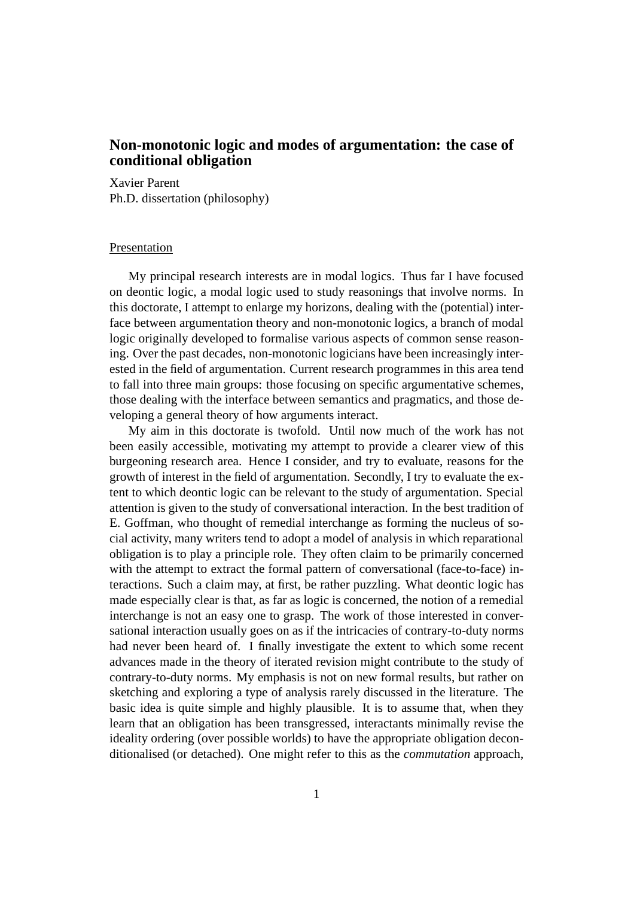## **Non-monotonic logic and modes of argumentation: the case of conditional obligation**

Xavier Parent Ph.D. dissertation (philosophy)

## Presentation

My principal research interests are in modal logics. Thus far I have focused on deontic logic, a modal logic used to study reasonings that involve norms. In this doctorate, I attempt to enlarge my horizons, dealing with the (potential) interface between argumentation theory and non-monotonic logics, a branch of modal logic originally developed to formalise various aspects of common sense reasoning. Over the past decades, non-monotonic logicians have been increasingly interested in the field of argumentation. Current research programmes in this area tend to fall into three main groups: those focusing on specific argumentative schemes, those dealing with the interface between semantics and pragmatics, and those developing a general theory of how arguments interact.

My aim in this doctorate is twofold. Until now much of the work has not been easily accessible, motivating my attempt to provide a clearer view of this burgeoning research area. Hence I consider, and try to evaluate, reasons for the growth of interest in the field of argumentation. Secondly, I try to evaluate the extent to which deontic logic can be relevant to the study of argumentation. Special attention is given to the study of conversational interaction. In the best tradition of E. Goffman, who thought of remedial interchange as forming the nucleus of social activity, many writers tend to adopt a model of analysis in which reparational obligation is to play a principle role. They often claim to be primarily concerned with the attempt to extract the formal pattern of conversational (face-to-face) interactions. Such a claim may, at first, be rather puzzling. What deontic logic has made especially clear is that, as far as logic is concerned, the notion of a remedial interchange is not an easy one to grasp. The work of those interested in conversational interaction usually goes on as if the intricacies of contrary-to-duty norms had never been heard of. I finally investigate the extent to which some recent advances made in the theory of iterated revision might contribute to the study of contrary-to-duty norms. My emphasis is not on new formal results, but rather on sketching and exploring a type of analysis rarely discussed in the literature. The basic idea is quite simple and highly plausible. It is to assume that, when they learn that an obligation has been transgressed, interactants minimally revise the ideality ordering (over possible worlds) to have the appropriate obligation deconditionalised (or detached). One might refer to this as the *commutation* approach,